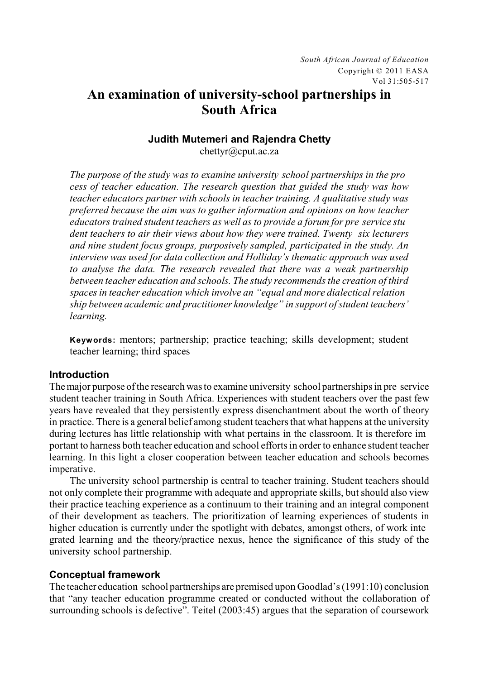# **An examination of university-school partnerships in South Africa**

# **Judith Mutemeri and Rajendra Chetty**

chettyr@cput.ac.za

*The purpose of the study was to examine university school partnerships in the pro cess of teacher education. The research question that guided the study was how teacher educators partner with schools in teacher training. A qualitative study was preferred because the aim was to gather information and opinions on how teacher educators trained student teachers as well as to provide a forum for pre service stu dent teachers to air their views about how they were trained. Twenty six lecturers and nine student focus groups, purposively sampled, participated in the study. An interview was used for data collection and Holliday's thematic approach was used to analyse the data. The research revealed that there was a weak partnership between teacher education and schools. The study recommends the creation of third spaces in teacher education which involve an "equal and more dialectical relation ship between academic and practitioner knowledge" in support of student teachers' learning.*

**Keywords:** mentors; partnership; practice teaching; skills development; student teacher learning; third spaces

## **Introduction**

The major purpose of the research was to examine university school partnerships in pre service student teacher training in South Africa. Experiences with student teachers over the past few years have revealed that they persistently express disenchantment about the worth of theory in practice. There is a general belief among student teachers that what happens at the university during lectures has little relationship with what pertains in the classroom. It is therefore im portant to harness both teacher education and school efforts in order to enhance student teacher learning. In this light a closer cooperation between teacher education and schools becomes imperative.

The university school partnership is central to teacher training. Student teachers should not only complete their programme with adequate and appropriate skills, but should also view their practice teaching experience as a continuum to their training and an integral component of their development as teachers. The prioritization of learning experiences of students in higher education is currently under the spotlight with debates, amongst others, of work inte grated learning and the theory/practice nexus, hence the significance of this study of the university school partnership.

# **Conceptual framework**

The teacher education school partnerships are premised upon Goodlad's (1991:10) conclusion that "any teacher education programme created or conducted without the collaboration of surrounding schools is defective". Teitel (2003:45) argues that the separation of coursework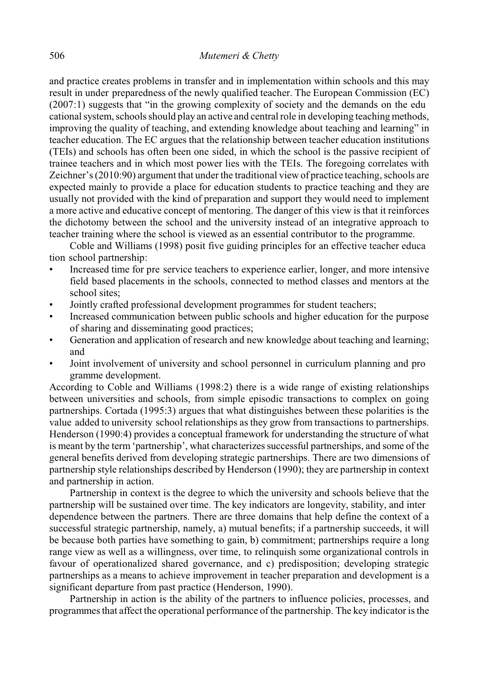and practice creates problems in transfer and in implementation within schools and this may result in under preparedness of the newly qualified teacher. The European Commission (EC) (2007:1) suggests that "in the growing complexity of society and the demands on the edu cational system, schools should play an active and central role in developing teaching methods, improving the quality of teaching, and extending knowledge about teaching and learning" in teacher education. The EC argues that the relationship between teacher education institutions (TEIs) and schools has often been one sided, in which the school is the passive recipient of trainee teachers and in which most power lies with the TEIs. The foregoing correlates with Zeichner's (2010:90) argument that under the traditional view of practice teaching, schools are expected mainly to provide a place for education students to practice teaching and they are usually not provided with the kind of preparation and support they would need to implement a more active and educative concept of mentoring. The danger of this view is that it reinforces the dichotomy between the school and the university instead of an integrative approach to teacher training where the school is viewed as an essential contributor to the programme.

Coble and Williams (1998) posit five guiding principles for an effective teacher educa tion school partnership:

- Increased time for pre service teachers to experience earlier, longer, and more intensive field based placements in the schools, connected to method classes and mentors at the school sites:
- Jointly crafted professional development programmes for student teachers;
- Increased communication between public schools and higher education for the purpose of sharing and disseminating good practices;
- Generation and application of research and new knowledge about teaching and learning; and
- Joint involvement of university and school personnel in curriculum planning and pro gramme development.

According to Coble and Williams (1998:2) there is a wide range of existing relationships between universities and schools, from simple episodic transactions to complex on going partnerships. Cortada (1995:3) argues that what distinguishes between these polarities is the value added to university school relationships as they grow from transactions to partnerships. Henderson (1990:4) provides a conceptual framework for understanding the structure of what is meant by the term 'partnership', what characterizes successful partnerships, and some of the general benefits derived from developing strategic partnerships. There are two dimensions of partnership style relationships described by Henderson (1990); they are partnership in context and partnership in action.

Partnership in context is the degree to which the university and schools believe that the partnership will be sustained over time. The key indicators are longevity, stability, and inter dependence between the partners. There are three domains that help define the context of a successful strategic partnership, namely, a) mutual benefits; if a partnership succeeds, it will be because both parties have something to gain, b) commitment; partnerships require a long range view as well as a willingness, over time, to relinquish some organizational controls in favour of operationalized shared governance, and c) predisposition; developing strategic partnerships as a means to achieve improvement in teacher preparation and development is a significant departure from past practice (Henderson, 1990).

Partnership in action is the ability of the partners to influence policies, processes, and programmes that affect the operational performance of the partnership. The key indicator is the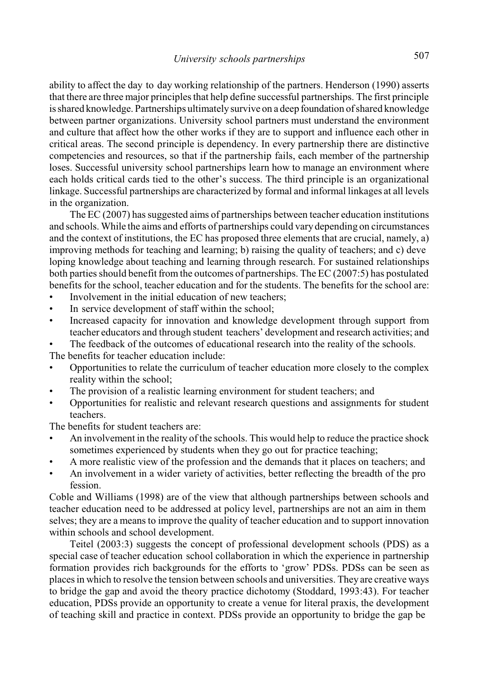ability to affect the day to day working relationship of the partners. Henderson (1990) asserts that there are three major principles that help define successful partnerships. The first principle is shared knowledge. Partnerships ultimately survive on a deep foundation of shared knowledge between partner organizations. University school partners must understand the environment and culture that affect how the other works if they are to support and influence each other in critical areas. The second principle is dependency. In every partnership there are distinctive competencies and resources, so that if the partnership fails, each member of the partnership loses. Successful university school partnerships learn how to manage an environment where each holds critical cards tied to the other's success. The third principle is an organizational linkage. Successful partnerships are characterized by formal and informal linkages at all levels in the organization.

The EC (2007) has suggested aims of partnerships between teacher education institutions and schools. While the aims and efforts of partnerships could vary depending on circumstances and the context of institutions, the EC has proposed three elements that are crucial, namely, a) improving methods for teaching and learning; b) raising the quality of teachers; and c) deve loping knowledge about teaching and learning through research. For sustained relationships both parties should benefit from the outcomes of partnerships. The EC (2007:5) has postulated benefits for the school, teacher education and for the students. The benefits for the school are:

- Involvement in the initial education of new teachers:
- In service development of staff within the school;
- Increased capacity for innovation and knowledge development through support from teacher educators and through student teachers' development and research activities; and
- The feedback of the outcomes of educational research into the reality of the schools.

The benefits for teacher education include:

- Opportunities to relate the curriculum of teacher education more closely to the complex reality within the school;
- The provision of a realistic learning environment for student teachers: and
- Opportunities for realistic and relevant research questions and assignments for student teachers.

The benefits for student teachers are:

- An involvement in the reality of the schools. This would help to reduce the practice shock sometimes experienced by students when they go out for practice teaching;
- A more realistic view of the profession and the demands that it places on teachers; and
- An involvement in a wider variety of activities, better reflecting the breadth of the pro fession.

Coble and Williams (1998) are of the view that although partnerships between schools and teacher education need to be addressed at policy level, partnerships are not an aim in them selves; they are a means to improve the quality of teacher education and to support innovation within schools and school development.

Teitel (2003:3) suggests the concept of professional development schools (PDS) as a special case of teacher education school collaboration in which the experience in partnership formation provides rich backgrounds for the efforts to 'grow' PDSs. PDSs can be seen as places in which to resolve the tension between schools and universities. They are creative ways to bridge the gap and avoid the theory practice dichotomy (Stoddard, 1993:43). For teacher education, PDSs provide an opportunity to create a venue for literal praxis, the development of teaching skill and practice in context. PDSs provide an opportunity to bridge the gap be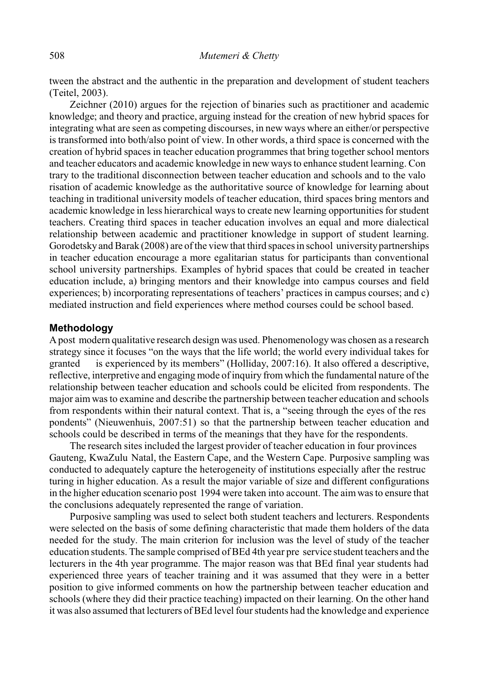tween the abstract and the authentic in the preparation and development of student teachers (Teitel, 2003).

Zeichner (2010) argues for the rejection of binaries such as practitioner and academic knowledge; and theory and practice, arguing instead for the creation of new hybrid spaces for integrating what are seen as competing discourses, in new ways where an either/or perspective is transformed into both/also point of view. In other words, a third space is concerned with the creation of hybrid spaces in teacher education programmes that bring together school mentors and teacher educators and academic knowledge in new ways to enhance student learning. Con trary to the traditional disconnection between teacher education and schools and to the valo risation of academic knowledge as the authoritative source of knowledge for learning about teaching in traditional university models of teacher education, third spaces bring mentors and academic knowledge in less hierarchical ways to create new learning opportunities for student teachers. Creating third spaces in teacher education involves an equal and more dialectical relationship between academic and practitioner knowledge in support of student learning. Gorodetsky and Barak (2008) are of the view that third spaces in school university partnerships in teacher education encourage a more egalitarian status for participants than conventional school university partnerships. Examples of hybrid spaces that could be created in teacher education include, a) bringing mentors and their knowledge into campus courses and field experiences; b) incorporating representations of teachers' practices in campus courses; and c) mediated instruction and field experiences where method courses could be school based.

### **Methodology**

A post modern qualitative research design was used. Phenomenology was chosen as a research strategy since it focuses "on the ways that the life world; the world every individual takes for granted is experienced by its members" (Holliday, 2007:16). It also offered a descriptive, reflective, interpretive and engaging mode of inquiry from which the fundamental nature of the relationship between teacher education and schools could be elicited from respondents. The major aim was to examine and describe the partnership between teacher education and schools from respondents within their natural context. That is, a "seeing through the eyes of the res pondents" (Nieuwenhuis, 2007:51) so that the partnership between teacher education and schools could be described in terms of the meanings that they have for the respondents.

The research sites included the largest provider of teacher education in four provinces Gauteng, KwaZulu Natal, the Eastern Cape, and the Western Cape. Purposive sampling was conducted to adequately capture the heterogeneity of institutions especially after the restruc turing in higher education. As a result the major variable of size and different configurations in the higher education scenario post 1994 were taken into account. The aim was to ensure that the conclusions adequately represented the range of variation.

Purposive sampling was used to select both student teachers and lecturers. Respondents were selected on the basis of some defining characteristic that made them holders of the data needed for the study. The main criterion for inclusion was the level of study of the teacher education students. The sample comprised of BEd 4th year pre service student teachers and the lecturers in the 4th year programme. The major reason was that BEd final year students had experienced three years of teacher training and it was assumed that they were in a better position to give informed comments on how the partnership between teacher education and schools (where they did their practice teaching) impacted on their learning. On the other hand it was also assumed that lecturers of BEd level four students had the knowledge and experience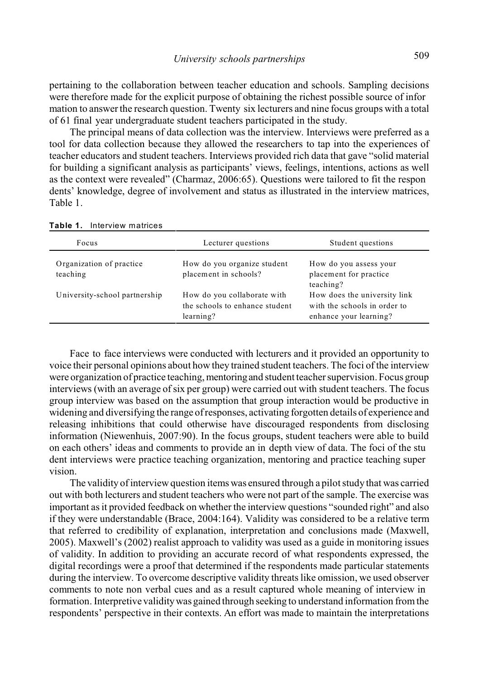pertaining to the collaboration between teacher education and schools. Sampling decisions were therefore made for the explicit purpose of obtaining the richest possible source of infor mation to answer the research question. Twenty six lecturers and nine focus groups with a total of 61 final year undergraduate student teachers participated in the study.

The principal means of data collection was the interview. Interviews were preferred as a tool for data collection because they allowed the researchers to tap into the experiences of teacher educators and student teachers. Interviews provided rich data that gave "solid material for building a significant analysis as participants' views, feelings, intentions, actions as well as the context were revealed" (Charmaz, 2006:65). Questions were tailored to fit the respon dents' knowledge, degree of involvement and status as illustrated in the interview matrices, Table 1.

| Focus                                | Lecturer questions                                                         | Student questions                                                                      |
|--------------------------------------|----------------------------------------------------------------------------|----------------------------------------------------------------------------------------|
| Organization of practice<br>teaching | How do you organize student<br>placement in schools?                       | How do you assess your<br>placement for practice<br>teaching?                          |
| University-school partnership        | How do you collaborate with<br>the schools to enhance student<br>learning? | How does the university link<br>with the schools in order to<br>enhance your learning? |

**Table 1.** Interview matrices

Face to face interviews were conducted with lecturers and it provided an opportunity to voice their personal opinions about how they trained student teachers. The foci of the interview were organization of practice teaching, mentoring and student teacher supervision. Focus group interviews (with an average of six per group) were carried out with student teachers. The focus group interview was based on the assumption that group interaction would be productive in widening and diversifying the range of responses, activating forgotten details of experience and releasing inhibitions that could otherwise have discouraged respondents from disclosing information (Niewenhuis, 2007:90). In the focus groups, student teachers were able to build on each others' ideas and comments to provide an in depth view of data. The foci of the stu dent interviews were practice teaching organization, mentoring and practice teaching super vision.

The validity of interview question items was ensured through a pilot study that was carried out with both lecturers and student teachers who were not part of the sample. The exercise was important as it provided feedback on whether the interview questions "sounded right" and also if they were understandable (Brace, 2004:164). Validity was considered to be a relative term that referred to credibility of explanation, interpretation and conclusions made (Maxwell, 2005). Maxwell's (2002) realist approach to validity was used as a guide in monitoring issues of validity. In addition to providing an accurate record of what respondents expressed, the digital recordings were a proof that determined if the respondents made particular statements during the interview. To overcome descriptive validity threats like omission, we used observer comments to note non verbal cues and as a result captured whole meaning of interview in formation. Interpretive validity was gained through seeking to understand information from the respondents' perspective in their contexts. An effort was made to maintain the interpretations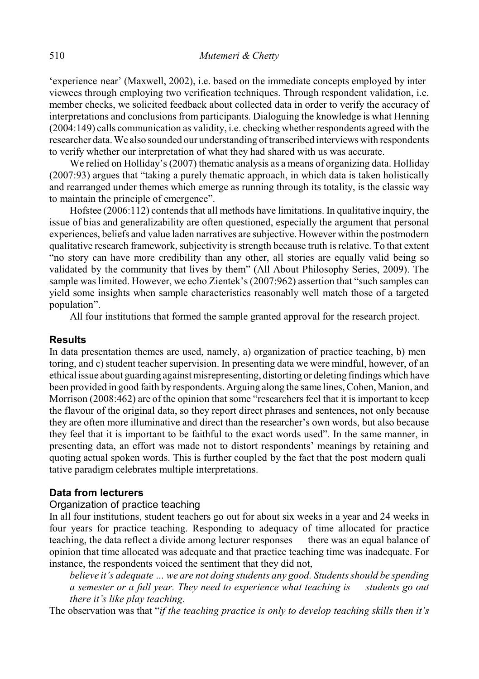'experience near' (Maxwell, 2002), i.e. based on the immediate concepts employed by inter viewees through employing two verification techniques. Through respondent validation, i.e. member checks, we solicited feedback about collected data in order to verify the accuracy of interpretations and conclusions from participants. Dialoguing the knowledge is what Henning (2004:149) calls communication as validity, i.e. checking whether respondents agreed with the researcher data. We also sounded our understanding of transcribed interviews with respondents to verify whether our interpretation of what they had shared with us was accurate.

We relied on Holliday's (2007) thematic analysis as a means of organizing data. Holliday (2007:93) argues that "taking a purely thematic approach, in which data is taken holistically and rearranged under themes which emerge as running through its totality, is the classic way to maintain the principle of emergence".

Hofstee (2006:112) contends that all methods have limitations. In qualitative inquiry, the issue of bias and generalizability are often questioned, especially the argument that personal experiences, beliefs and value laden narratives are subjective. However within the postmodern qualitative research framework, subjectivity is strength because truth is relative. To that extent "no story can have more credibility than any other, all stories are equally valid being so validated by the community that lives by them" (All About Philosophy Series, 2009). The sample was limited. However, we echo Zientek's (2007:962) assertion that "such samples can yield some insights when sample characteristics reasonably well match those of a targeted population".

All four institutions that formed the sample granted approval for the research project.

## **Results**

In data presentation themes are used, namely, a) organization of practice teaching, b) men toring, and c) student teacher supervision. In presenting data we were mindful, however, of an ethical issue about guarding against misrepresenting, distorting or deleting findings which have been provided in good faith by respondents. Arguing along the same lines, Cohen, Manion, and Morrison (2008:462) are of the opinion that some "researchers feel that it is important to keep the flavour of the original data, so they report direct phrases and sentences, not only because they are often more illuminative and direct than the researcher's own words, but also because they feel that it is important to be faithful to the exact words used". In the same manner, in presenting data, an effort was made not to distort respondents' meanings by retaining and quoting actual spoken words. This is further coupled by the fact that the post modern quali tative paradigm celebrates multiple interpretations.

# **Data from lecturers**

## Organization of practice teaching

In all four institutions, student teachers go out for about six weeks in a year and 24 weeks in four years for practice teaching. Responding to adequacy of time allocated for practice teaching, the data reflect a divide among lecturer responses there was an equal balance of opinion that time allocated was adequate and that practice teaching time was inadequate. For instance, the respondents voiced the sentiment that they did not,

*believe it's adequate … we are not doing students any good. Students should be spending a semester or a full year. They need to experience what teaching is students go out there it's like play teaching*.

The observation was that "*if the teaching practice is only to develop teaching skills then it's*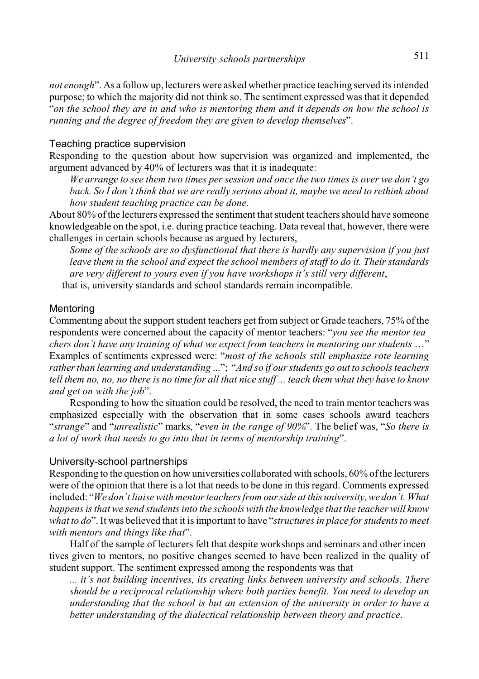*not enough*". As a follow up, lecturers were asked whether practice teaching served its intended purpose; to which the majority did not think so. The sentiment expressed was that it depended "*on the school they are in and who is mentoring them and it depends on how the school is running and the degree of freedom they are given to develop themselves*".

## Teaching practice supervision

Responding to the question about how supervision was organized and implemented, the argument advanced by 40% of lecturers was that it is inadequate:

*We arrange to see them two times per session and once the two times is over we don't go back. So I don't think that we are really serious about it, maybe we need to rethink about how student teaching practice can be done*.

About 80% of the lecturers expressed the sentiment that student teachers should have someone knowledgeable on the spot, i.e. during practice teaching. Data reveal that, however, there were challenges in certain schools because as argued by lecturers,

*Some of the schools are so dysfunctional that there is hardly any supervision if you just leave them in the school and expect the school members of staff to do it. Their standards are very different to yours even if you have workshops it's still very different*,

that is, university standards and school standards remain incompatible.

## **Mentoring**

Commenting about the support student teachers get from subject or Grade teachers, 75% of the respondents were concerned about the capacity of mentor teachers: "*you see the mentor tea chers don't have any training of what we expect from teachers in mentoring our students* …" Examples of sentiments expressed were: "*most of the schools still emphasize rote learning rather than learning and understanding* ..."; "*And so if our students go out to schools teachers tell them no, no, no there is no time for all that nice stuff ... teach them what they have to know and get on with the job*".

Responding to how the situation could be resolved, the need to train mentor teachers was emphasized especially with the observation that in some cases schools award teachers "*strange*" and "*unrealistic*" marks, "*even in the range of 90%*". The belief was, "*So there is a lot of work that needs to go into that in terms of mentorship training*".

#### University-school partnerships

Responding to the question on how universities collaborated with schools, 60% of the lecturers were of the opinion that there is a lot that needs to be done in this regard. Comments expressed included: "*We don't liaise with mentor teachers from our side at this university, we don't. What happens is that we send students into the schools with the knowledge that the teacher will know what to do*". It was believed that it is important to have "*structures in place for students to meet with mentors and things like that*".

Half of the sample of lecturers felt that despite workshops and seminars and other incen tives given to mentors, no positive changes seemed to have been realized in the quality of student support. The sentiment expressed among the respondents was that

*... it's not building incentives, its creating links between university and schools. There should be a reciprocal relationship where both parties benefit. You need to develop an understanding that the school is but an extension of the university in order to have a better understanding of the dialectical relationship between theory and practice*.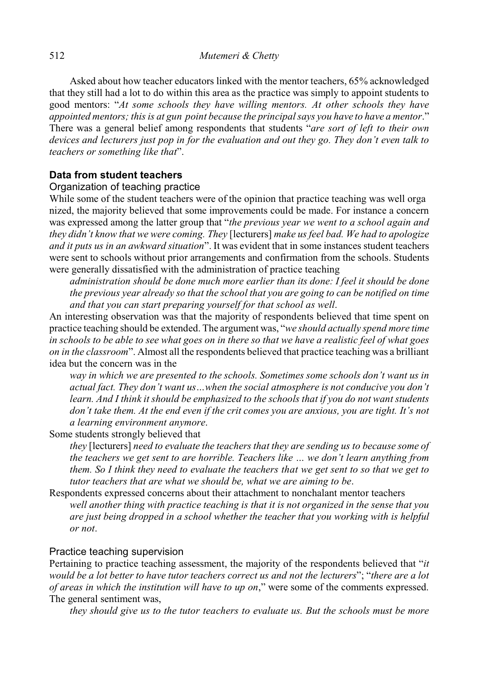Asked about how teacher educators linked with the mentor teachers, 65% acknowledged that they still had a lot to do within this area as the practice was simply to appoint students to good mentors: "*At some schools they have willing mentors. At other schools they have appointed mentors; this is at gun point because the principal says you have to have a mentor*." There was a general belief among respondents that students "*are sort of left to their own devices and lecturers just pop in for the evaluation and out they go. They don't even talk to teachers or something like that*".

## **Data from student teachers**

## Organization of teaching practice

While some of the student teachers were of the opinion that practice teaching was well orga nized, the majority believed that some improvements could be made. For instance a concern was expressed among the latter group that "*the previous year we went to a school again and they didn't know that we were coming. They* [lecturers] *make us feel bad. We had to apologize and it puts us in an awkward situation*". It was evident that in some instances student teachers were sent to schools without prior arrangements and confirmation from the schools. Students were generally dissatisfied with the administration of practice teaching

*administration should be done much more earlier than its done: I feel it should be done the previous year already so that the school that you are going to can be notified on time and that you can start preparing yourself for that school as well*.

An interesting observation was that the majority of respondents believed that time spent on practice teaching should be extended. The argument was, "*we should actually spend more time in schools to be able to see what goes on in there so that we have a realistic feel of what goes on in the classroom*". Almost all the respondents believed that practice teaching was a brilliant idea but the concern was in the

*way in which we are presented to the schools. Sometimes some schools don't want us in actual fact. They don't want us…when the social atmosphere is not conducive you don't learn. And I think it should be emphasized to the schools that if you do not want students don't take them. At the end even if the crit comes you are anxious, you are tight. It's not a learning environment anymore*.

Some students strongly believed that

*they* [lecturers] *need to evaluate the teachers that they are sending us to because some of the teachers we get sent to are horrible. Teachers like … we don't learn anything from them. So I think they need to evaluate the teachers that we get sent to so that we get to tutor teachers that are what we should be, what we are aiming to be*.

Respondents expressed concerns about their attachment to nonchalant mentor teachers *well another thing with practice teaching is that it is not organized in the sense that you are just being dropped in a school whether the teacher that you working with is helpful or not*.

## Practice teaching supervision

Pertaining to practice teaching assessment, the majority of the respondents believed that "*it would be a lot better to have tutor teachers correct us and not the lecturers*"; "*there are a lot of areas in which the institution will have to up on*," were some of the comments expressed. The general sentiment was,

*they should give us to the tutor teachers to evaluate us. But the schools must be more*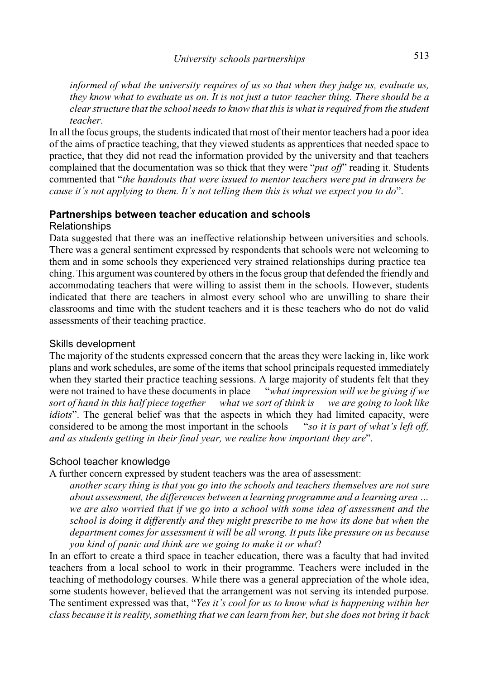*informed of what the university requires of us so that when they judge us, evaluate us, they know what to evaluate us on. It is not just a tutor teacher thing. There should be a clear structure that the school needs to know that this is what is required from the student teacher*.

In all the focus groups, the students indicated that most of their mentor teachers had a poor idea of the aims of practice teaching, that they viewed students as apprentices that needed space to practice, that they did not read the information provided by the university and that teachers complained that the documentation was so thick that they were "*put off*" reading it. Students commented that "*the handouts that were issued to mentor teachers were put in drawers be cause it's not applying to them. It's not telling them this is what we expect you to do*".

#### **Partnerships between teacher education and schools**

#### Relationships

Data suggested that there was an ineffective relationship between universities and schools. There was a general sentiment expressed by respondents that schools were not welcoming to them and in some schools they experienced very strained relationships during practice tea ching. This argument was countered by others in the focus group that defended the friendly and accommodating teachers that were willing to assist them in the schools. However, students indicated that there are teachers in almost every school who are unwilling to share their classrooms and time with the student teachers and it is these teachers who do not do valid assessments of their teaching practice.

## Skills development

The majority of the students expressed concern that the areas they were lacking in, like work plans and work schedules, are some of the items that school principals requested immediately when they started their practice teaching sessions. A large majority of students felt that they were not trained to have these documents in place "*what impression will we be giving if we sort of hand in this half piece together what we sort of think is we are going to look like idiots*". The general belief was that the aspects in which they had limited capacity, were considered to be among the most important in the schools "*so it is part of what's left off, and as students getting in their final year, we realize how important they are*".

## School teacher knowledge

A further concern expressed by student teachers was the area of assessment:

*another scary thing is that you go into the schools and teachers themselves are not sure about assessment, the differences between a learning programme and a learning area … we are also worried that if we go into a school with some idea of assessment and the school is doing it differently and they might prescribe to me how its done but when the department comes for assessment it will be all wrong. It puts like pressure on us because you kind of panic and think are we going to make it or what*?

In an effort to create a third space in teacher education, there was a faculty that had invited teachers from a local school to work in their programme. Teachers were included in the teaching of methodology courses. While there was a general appreciation of the whole idea, some students however, believed that the arrangement was not serving its intended purpose. The sentiment expressed was that, "*Yes it's cool for us to know what is happening within her class because it is reality, something that we can learn from her, but she does not bring it back*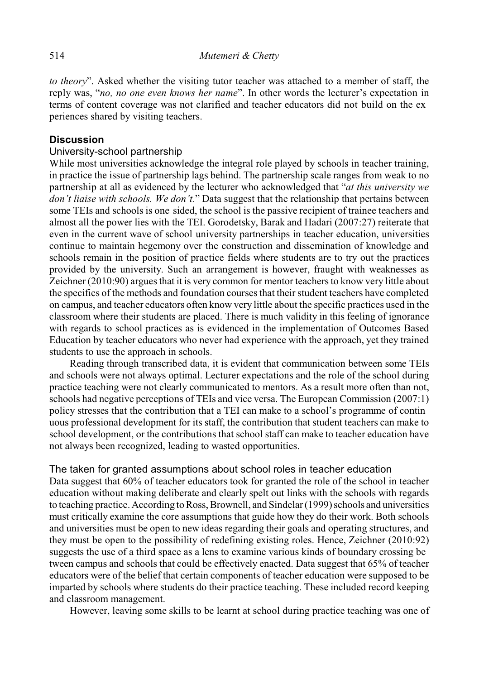*to theory*". Asked whether the visiting tutor teacher was attached to a member of staff, the reply was, "*no, no one even knows her name*". In other words the lecturer's expectation in terms of content coverage was not clarified and teacher educators did not build on the ex periences shared by visiting teachers.

# **Discussion**

## University-school partnership

While most universities acknowledge the integral role played by schools in teacher training, in practice the issue of partnership lags behind. The partnership scale ranges from weak to no partnership at all as evidenced by the lecturer who acknowledged that "*at this university we don't liaise with schools. We don't.*" Data suggest that the relationship that pertains between some TEIs and schools is one sided, the school is the passive recipient of trainee teachers and almost all the power lies with the TEI. Gorodetsky, Barak and Hadari (2007:27) reiterate that even in the current wave of school university partnerships in teacher education, universities continue to maintain hegemony over the construction and dissemination of knowledge and schools remain in the position of practice fields where students are to try out the practices provided by the university. Such an arrangement is however, fraught with weaknesses as Zeichner (2010:90) argues that it is very common for mentor teachers to know very little about the specifics of the methods and foundation courses that their student teachers have completed on campus, and teacher educators often know very little about the specific practices used in the classroom where their students are placed. There is much validity in this feeling of ignorance with regards to school practices as is evidenced in the implementation of Outcomes Based Education by teacher educators who never had experience with the approach, yet they trained students to use the approach in schools.

Reading through transcribed data, it is evident that communication between some TEIs and schools were not always optimal. Lecturer expectations and the role of the school during practice teaching were not clearly communicated to mentors. As a result more often than not, schools had negative perceptions of TEIs and vice versa. The European Commission (2007:1) policy stresses that the contribution that a TEI can make to a school's programme of contin uous professional development for its staff, the contribution that student teachers can make to school development, or the contributions that school staff can make to teacher education have not always been recognized, leading to wasted opportunities.

# The taken for granted assumptions about school roles in teacher education

Data suggest that 60% of teacher educators took for granted the role of the school in teacher education without making deliberate and clearly spelt out links with the schools with regards to teaching practice. According to Ross, Brownell, and Sindelar (1999) schools and universities must critically examine the core assumptions that guide how they do their work. Both schools and universities must be open to new ideas regarding their goals and operating structures, and they must be open to the possibility of redefining existing roles. Hence, Zeichner (2010:92) suggests the use of a third space as a lens to examine various kinds of boundary crossing be tween campus and schools that could be effectively enacted. Data suggest that 65% of teacher educators were of the belief that certain components of teacher education were supposed to be imparted by schools where students do their practice teaching. These included record keeping and classroom management.

However, leaving some skills to be learnt at school during practice teaching was one of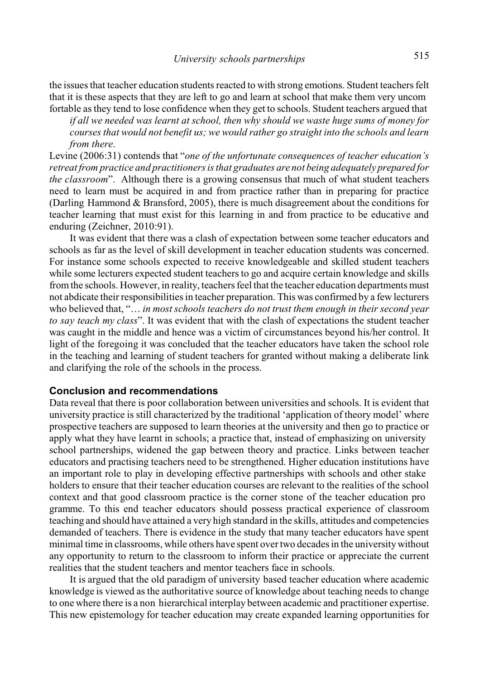the issues that teacher education students reacted to with strong emotions. Student teachers felt that it is these aspects that they are left to go and learn at school that make them very uncom fortable as they tend to lose confidence when they get to schools. Student teachers argued that

*if all we needed was learnt at school, then why should we waste huge sums of money for courses that would not benefit us; we would rather go straight into the schools and learn from there*.

Levine (2006:31) contends that "*one of the unfortunate consequences of teacher education's retreat from practice and practitioners is that graduates are not being adequately prepared for the classroom*". Although there is a growing consensus that much of what student teachers need to learn must be acquired in and from practice rather than in preparing for practice (Darling Hammond & Bransford, 2005), there is much disagreement about the conditions for teacher learning that must exist for this learning in and from practice to be educative and enduring (Zeichner, 2010:91).

It was evident that there was a clash of expectation between some teacher educators and schools as far as the level of skill development in teacher education students was concerned. For instance some schools expected to receive knowledgeable and skilled student teachers while some lecturers expected student teachers to go and acquire certain knowledge and skills from the schools. However, in reality, teachers feel that the teacher education departments must not abdicate their responsibilities in teacher preparation. This was confirmed by a few lecturers who believed that, "… *in most schools teachers do not trust them enough in their second year to say teach my class*". It was evident that with the clash of expectations the student teacher was caught in the middle and hence was a victim of circumstances beyond his/her control. It light of the foregoing it was concluded that the teacher educators have taken the school role in the teaching and learning of student teachers for granted without making a deliberate link and clarifying the role of the schools in the process.

## **Conclusion and recommendations**

Data reveal that there is poor collaboration between universities and schools. It is evident that university practice is still characterized by the traditional 'application of theory model' where prospective teachers are supposed to learn theories at the university and then go to practice or apply what they have learnt in schools; a practice that, instead of emphasizing on university school partnerships, widened the gap between theory and practice. Links between teacher educators and practising teachers need to be strengthened. Higher education institutions have an important role to play in developing effective partnerships with schools and other stake holders to ensure that their teacher education courses are relevant to the realities of the school context and that good classroom practice is the corner stone of the teacher education pro gramme. To this end teacher educators should possess practical experience of classroom teaching and should have attained a very high standard in the skills, attitudes and competencies demanded of teachers. There is evidence in the study that many teacher educators have spent minimal time in classrooms, while others have spent over two decades in the university without any opportunity to return to the classroom to inform their practice or appreciate the current realities that the student teachers and mentor teachers face in schools.

It is argued that the old paradigm of university based teacher education where academic knowledge is viewed as the authoritative source of knowledge about teaching needs to change to one where there is a non hierarchical interplay between academic and practitioner expertise. This new epistemology for teacher education may create expanded learning opportunities for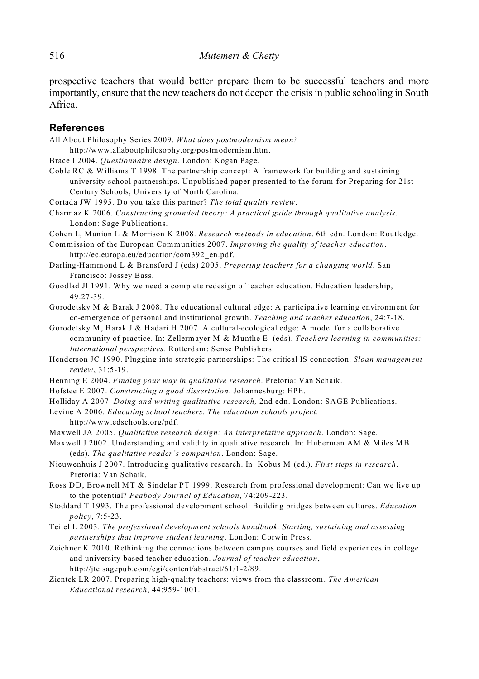prospective teachers that would better prepare them to be successful teachers and more importantly, ensure that the new teachers do not deepen the crisis in public schooling in South Africa.

#### **References**

All About Philosophy Series 2009. *What does postmodernism mean?*

http://www.allaboutphilosophy.org/postmodernism.htm.

Brace I 2004. *Questionnaire design*. London: Kogan Page.

- Coble RC & Williams T 1998. The partnership concept: A framework for building and sustaining university-school partnerships. Unpublished paper presented to the forum for Preparing for 21st Century Schools, University of North Carolina.
- Cortada JW 1995. Do you take this partner? *The total quality review*.
- Charmaz K 2006. *Constructing grounded theory: A practical guide through qualitative analysis*. London: Sage Publications.

Cohen L, Manion L & Morrison K 2008. *Research methods in education*. 6th edn. London: Routledge.

Commission of the European Communities 2007. *Improving the quality of teacher education*. http://ec.europa.eu/education/com392\_en.pdf.

Darling-Hammond L & Bransford J (eds) 2005. *Preparing teachers for a changing world*. San Francisco: Jossey Bass.

Goodlad JI 1991. Why we need a complete redesign of teacher education. Education leadership, 49:27-39.

Gorodetsky M & Barak J 2008. The educational cultural edge: A participative learning environment for co-emergence of personal and institutional growth. *Teaching and teacher education*, 24:7-18.

Gorodetsky M, Barak J & Hadari H 2007. A cultural-ecological edge: A model for a collaborative community of practice. In: Zellermayer M & Munthe E (eds). *Teachers learning in communities: International perspectives*. Rotterdam: Sense Publishers.

Henderson JC 1990. Plugging into strategic partnerships: The critical IS connection. *Sloan management review*, 31:5-19.

Henning E 2004. *Finding your way in qualitative research*. Pretoria: Van Schaik.

Hofstee E 2007. *Constructing a good dissertation*. Johannesburg: EPE.

Holliday A 2007. *Doing and writing qualitative research,* 2nd edn. London: SAGE Publications.

Levine A 2006. *Educating school teachers. The education schools project*.

http://www.edschools.org/pdf.

Maxwell JA 2005. *Qualitative research design: An interpretative approach*. London: Sage.

Maxwell J 2002. Understanding and validity in qualitative research. In: Huberman AM & Miles MB (eds). *The qualitative reader's companion*. London: Sage.

Nieuwenhuis J 2007. Introducing qualitative research. In: Kobus M (ed.). *First steps in research*. Pretoria: Van Schaik.

Ross DD, Brownell MT & Sindelar PT 1999. Research from professional development: Can we live up to the potential? *Peabody Journal of Education*, 74:209-223.

Stoddard T 1993. The professional development school: Building bridges between cultures. *Education policy*, 7:5-23.

Teitel L 2003. *The professional development schools handbook. Starting, sustaining and assessing partnerships that improve student learning*. London: Corwin Press.

Zeichner K 2010. Rethinking the connections between campus courses and field experiences in college and university-based teacher education. *Journal of teacher education*, http://jte.sagepub.com/cgi/content/abstract/61/1-2/89.

Zientek LR 2007. Preparing high-quality teachers: views from the classroom. *The American Educational research*, 44:959-1001.